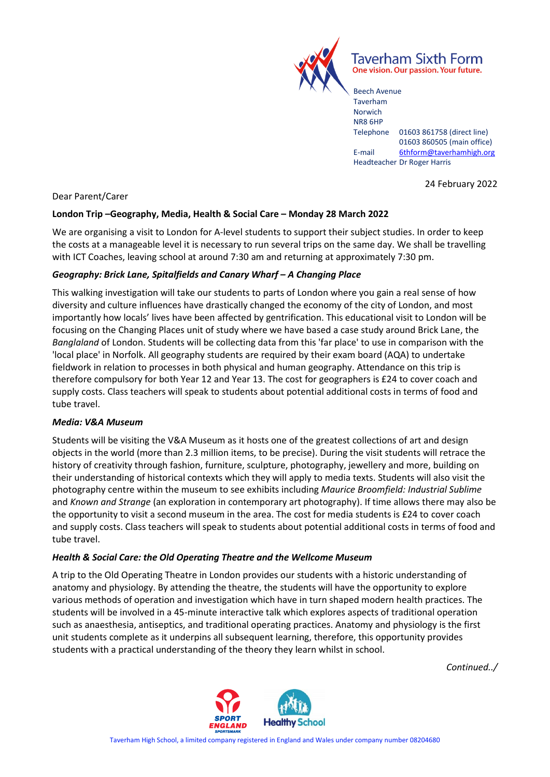

Taverham Sixth Form One vision. Our passion. Your future.

Beech Avenue Taverham Norwich NR8 6HP Telephone 01603 861758 (direct line) 01603 860505 (main office) E-mail [6thform@taverhamhigh.org](mailto:6thform@taverhamhigh.org) Headteacher Dr Roger Harris

24 February 2022

Dear Parent/Carer

# **London Trip –Geography, Media, Health & Social Care – Monday 28 March 2022**

We are organising a visit to London for A-level students to support their subject studies. In order to keep the costs at a manageable level it is necessary to run several trips on the same day. We shall be travelling with ICT Coaches, leaving school at around 7:30 am and returning at approximately 7:30 pm.

# *Geography: Brick Lane, Spitalfields and Canary Wharf – A Changing Place*

This walking investigation will take our students to parts of London where you gain a real sense of how diversity and culture influences have drastically changed the economy of the city of London, and most importantly how locals' lives have been affected by gentrification. This educational visit to London will be focusing on the Changing Places unit of study where we have based a case study around Brick Lane, the *Banglaland* of London. Students will be collecting data from this 'far place' to use in comparison with the 'local place' in Norfolk. All geography students are required by their exam board (AQA) to undertake fieldwork in relation to processes in both physical and human geography. Attendance on this trip is therefore compulsory for both Year 12 and Year 13. The cost for geographers is £24 to cover coach and supply costs. Class teachers will speak to students about potential additional costs in terms of food and tube travel.

### *Media: V&A Museum*

Students will be visiting the V&A Museum as it hosts one of the greatest collections of art and design objects in the world (more than 2.3 million items, to be precise). During the visit students will retrace the history of creativity through fashion, furniture, sculpture, photography, jewellery and more, building on their understanding of historical contexts which they will apply to media texts. Students will also visit the photography centre within the museum to see exhibits including *Maurice Broomfield: Industrial Sublime* and *Known and Strange* (an exploration in contemporary art photography). If time allows there may also be the opportunity to visit a second museum in the area. The cost for media students is £24 to cover coach and supply costs. Class teachers will speak to students about potential additional costs in terms of food and tube travel.

# *Health & Social Care: the Old Operating Theatre and the Wellcome Museum*

A trip to the Old Operating Theatre in London provides our students with a historic understanding of anatomy and physiology. By attending the theatre, the students will have the opportunity to explore various methods of operation and investigation which have in turn shaped modern health practices. The students will be involved in a 45-minute interactive talk which explores aspects of traditional operation such as anaesthesia, antiseptics, and traditional operating practices. Anatomy and physiology is the first unit students complete as it underpins all subsequent learning, therefore, this opportunity provides students with a practical understanding of the theory they learn whilst in school.

*Continued../*

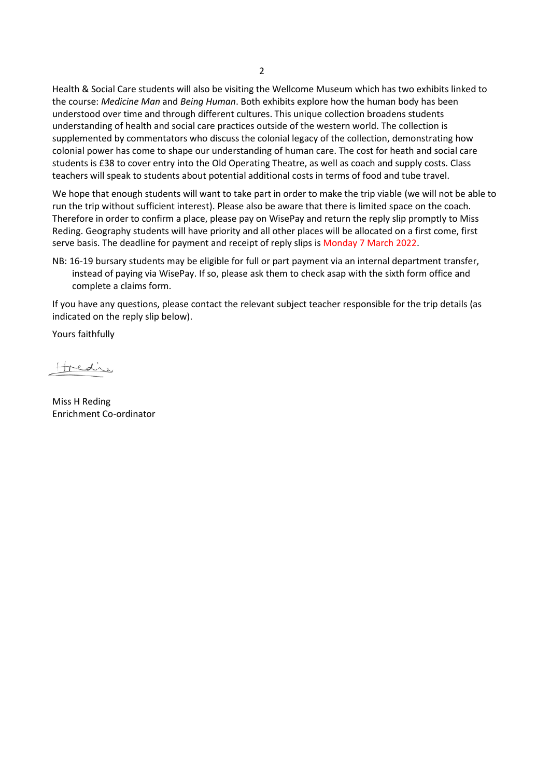Health & Social Care students will also be visiting the Wellcome Museum which has two exhibits linked to the course: *Medicine Man* and *Being Human*. Both exhibits explore how the human body has been understood over time and through different cultures. This unique collection broadens students understanding of health and social care practices outside of the western world. The collection is supplemented by commentators who discuss the colonial legacy of the collection, demonstrating how colonial power has come to shape our understanding of human care. The cost for heath and social care students is £38 to cover entry into the Old Operating Theatre, as well as coach and supply costs. Class teachers will speak to students about potential additional costs in terms of food and tube travel.

We hope that enough students will want to take part in order to make the trip viable (we will not be able to run the trip without sufficient interest). Please also be aware that there is limited space on the coach. Therefore in order to confirm a place, please pay on WisePay and return the reply slip promptly to Miss Reding. Geography students will have priority and all other places will be allocated on a first come, first serve basis. The deadline for payment and receipt of reply slips is Monday 7 March 2022.

NB: 16-19 bursary students may be eligible for full or part payment via an internal department transfer, instead of paying via WisePay. If so, please ask them to check asap with the sixth form office and complete a claims form.

If you have any questions, please contact the relevant subject teacher responsible for the trip details (as indicated on the reply slip below).

Yours faithfully

tredie

Miss H Reding Enrichment Co-ordinator